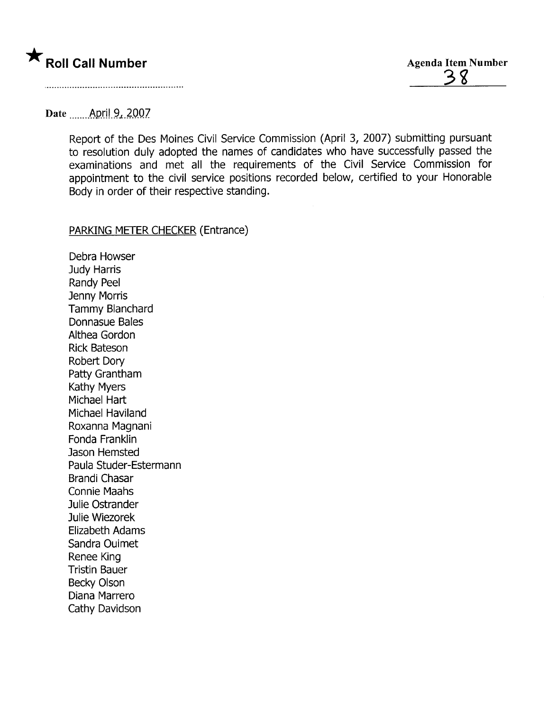

### Date April 9, 2007

Report of the Des Moines Civil Service Commission (April 3, 2007) submitting pursuant to resolution duly adopted the names of candidates who have successfully passed the examinations and met all the requirements of the Civil Service Commission for appointment to the civil service positions recorded below, certified to your Honorable Body in order of their respective standing.

#### PARKING METER CHECKER (Entrance)

Debra Howser Judy Harris Randy Peel Jenny Morris Tammy Blanchard Donnasue Bales Althea Gordon Rick Bateson Robert Dory Patty Grantham Kathy Myers Michael Hart Michael Haviland Roxanna Magnani Fonda Franklin Jason Hemsted Paula Studer-Estermann Brandi Chasar Connie Maahs Julie Ostrander Julie Wiezorek Elizabeth Adams Sandra Ouimet Renee King Tristin Bauer Becky Olson Diana Marrero Cathy Davidson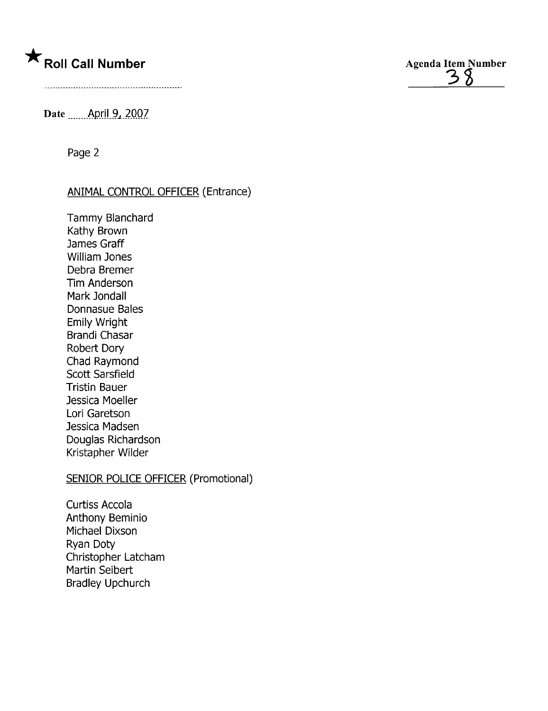



Date ........April 9, 2007.

Page 2

#### ANIMAL CONTROL OFFICER (Entrance)

Tammy Blanchard Kathy Brown James Graff William Jones Debra Bremer Tim Anderson Mark Jondall Donnasue Bales Emily Wright Brandi Chasar Robert Dory Chad Raymond Scott Sarsfield Tristin Bauer Jessica Moeller Lori Garetson Jessica Madsen Douglas Richardson Kristapher Wilder

## SENIOR POLICE OFFICER (Promotional)

Curtiss Accola Anthony Beminio Michael Dixson Ryan Doty Christopher Latcham Martin Seibert Bradley Upchurch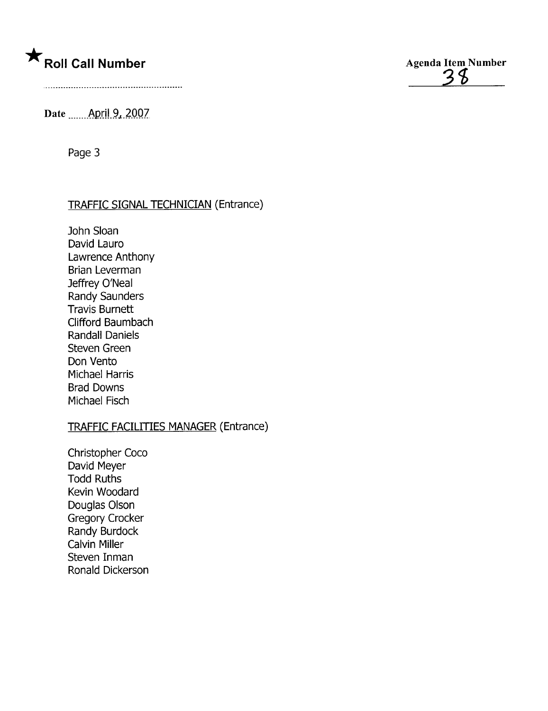



Date ....... April 9, 2007

Page 3

## TRAFFIC SIGNAL TECHNICIAN (Entrance)

John Sloan David Lauro Lawrence Anthony Brian Leverman Jeffrey O'Neal Randy Saunders Travis Burnett Clifford Baumbach Randall Daniels Steven Green Don Vento Michael Harris Brad Downs Michael Fisch

## TRAFFIC FACILITIES MANAGER (Entrance)

Christopher Coco David Meyer Todd Ruths Kevin Woodard Douglas Olson Gregory Crocker Randy Burdock Calvin Miller Steven Inman Ronald Dickerson